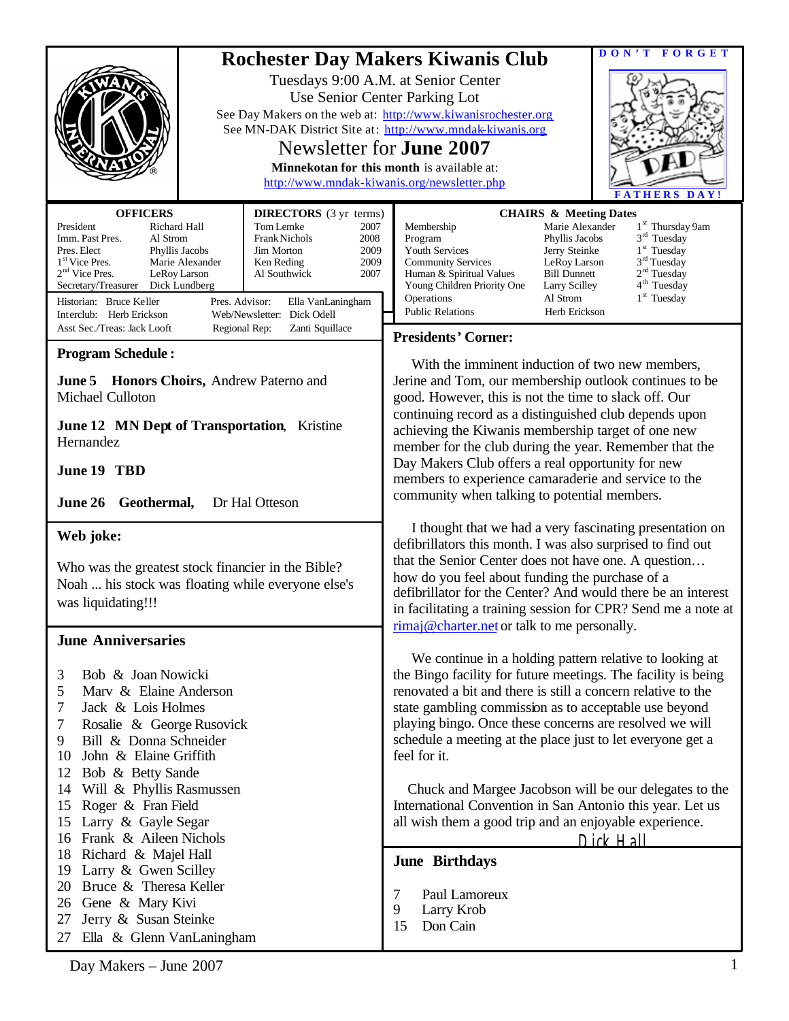|                                                                                                                                                                                                                                                                                                                                                                                                                                                                                                                          | DON'T FORGET<br><b>Rochester Day Makers Kiwanis Club</b><br>Tuesdays 9:00 A.M. at Senior Center<br>Use Senior Center Parking Lot<br>See Day Makers on the web at: http://www.kiwanisrochester.org<br>See MN-DAK District Site at: http://www.mndak-kiwanis.org<br>Newsletter for <b>June 2007</b><br>Minnekotan for this month is available at:<br>http://www.mndak-kiwanis.org/newsletter.php<br><b>FATHERS DAY</b>                                                                                                                                                                     |  |
|--------------------------------------------------------------------------------------------------------------------------------------------------------------------------------------------------------------------------------------------------------------------------------------------------------------------------------------------------------------------------------------------------------------------------------------------------------------------------------------------------------------------------|------------------------------------------------------------------------------------------------------------------------------------------------------------------------------------------------------------------------------------------------------------------------------------------------------------------------------------------------------------------------------------------------------------------------------------------------------------------------------------------------------------------------------------------------------------------------------------------|--|
| <b>OFFICERS</b><br><b>DIRECTORS</b> (3 yr terms)<br>President<br>Richard Hall<br>Tom Lemke<br>2007<br>Imm. Past Pres.<br>Frank Nichols<br>Al Strom<br>2008<br>Pres. Elect<br>2009<br>Phyllis Jacobs<br>Jim Morton<br>1 <sup>st</sup> Vice Pres.<br>Marie Alexander<br>2009<br>Ken Reding<br>$2nd$ Vice Pres.<br>LeRoy Larson<br>Al Southwick<br>2007<br>Secretary/Treasurer<br>Dick Lundberg<br>Pres. Advisor:<br>Historian: Bruce Keller<br>Ella VanLaningham<br>Interclub: Herb Erickson<br>Web/Newsletter: Dick Odell | <b>CHAIRS &amp; Meeting Dates</b><br>Membership<br>Marie Alexander<br>1 <sup>st</sup> Thursday 9am<br>$3rd$ Tuesday<br>Program<br>Phyllis Jacobs<br>Youth Services<br>$1st$ Tuesday<br>Jerry Steinke<br>$3rd$ Tuesday<br><b>Community Services</b><br>LeRoy Larson<br>2 <sup>nd</sup> Tuesday<br><b>Bill Dunnett</b><br>Human & Spiritual Values<br>4 <sup>th</sup> Tuesday<br>Young Children Priority One<br>Larry Scilley<br>$1st$ Tuesday<br>Operations<br>Al Strom<br><b>Public Relations</b><br>Herb Erickson                                                                       |  |
| Asst Sec./Treas: Jack Looft<br>Zanti Squillace<br>Regional Rep:                                                                                                                                                                                                                                                                                                                                                                                                                                                          | <b>Presidents' Corner:</b>                                                                                                                                                                                                                                                                                                                                                                                                                                                                                                                                                               |  |
| <b>Program Schedule:</b><br><b>June 5 Honors Choirs, Andrew Paterno and</b><br><b>Michael Culloton</b><br><b>June 12 MN Dept of Transportation, Kristine</b><br>Hernandez<br>June 19 TBD<br>June 26 Geothermal,<br>Dr Hal Otteson                                                                                                                                                                                                                                                                                        | With the imminent induction of two new members,<br>Jerine and Tom, our membership outlook continues to be<br>good. However, this is not the time to slack off. Our<br>continuing record as a distinguished club depends upon<br>achieving the Kiwanis membership target of one new<br>member for the club during the year. Remember that the<br>Day Makers Club offers a real opportunity for new<br>members to experience camaraderie and service to the<br>community when talking to potential members.                                                                                |  |
| Web joke:<br>Who was the greatest stock financier in the Bible?<br>Noah  his stock was floating while everyone else's<br>was liquidating!!!                                                                                                                                                                                                                                                                                                                                                                              | I thought that we had a very fascinating presentation on<br>defibrillators this month. I was also surprised to find out<br>that the Senior Center does not have one. A question<br>how do you feel about funding the purchase of a<br>defibrillator for the Center? And would there be an interest<br>in facilitating a training session for CPR? Send me a note at<br>$\overline{\text{rimal}}$ @ charter.net or talk to me personally.                                                                                                                                                 |  |
| <b>June Anniversaries</b><br>Bob & Joan Nowicki<br>3<br>Marv & Elaine Anderson<br>5<br>7<br>Jack & Lois Holmes<br>Rosalie & George Rusovick<br>7<br>Bill & Donna Schneider<br>9<br>John & Elaine Griffith<br>10<br>12<br>Bob & Betty Sande<br>Will & Phyllis Rasmussen<br>14<br>Roger & Fran Field<br>15<br>Larry & Gayle Segar<br>15<br>Frank & Aileen Nichols<br>16                                                                                                                                                    | We continue in a holding pattern relative to looking at<br>the Bingo facility for future meetings. The facility is being<br>renovated a bit and there is still a concern relative to the<br>state gambling commission as to acceptable use beyond<br>playing bingo. Once these concerns are resolved we will<br>schedule a meeting at the place just to let everyone get a<br>feel for it.<br>Chuck and Margee Jacobson will be our delegates to the<br>International Convention in San Antonio this year. Let us<br>all wish them a good trip and an enjoyable experience.<br>Dick Hall |  |
| Richard & Majel Hall<br>18<br>Larry & Gwen Scilley<br>19<br>Bruce & Theresa Keller<br>20<br>26 Gene & Mary Kivi<br>Jerry & Susan Steinke<br>27<br>Ella & Glenn VanLaningham<br>27                                                                                                                                                                                                                                                                                                                                        | <b>June Birthdays</b><br>Paul Lamoreux<br>7<br>9<br>Larry Krob<br>Don Cain<br>15                                                                                                                                                                                                                                                                                                                                                                                                                                                                                                         |  |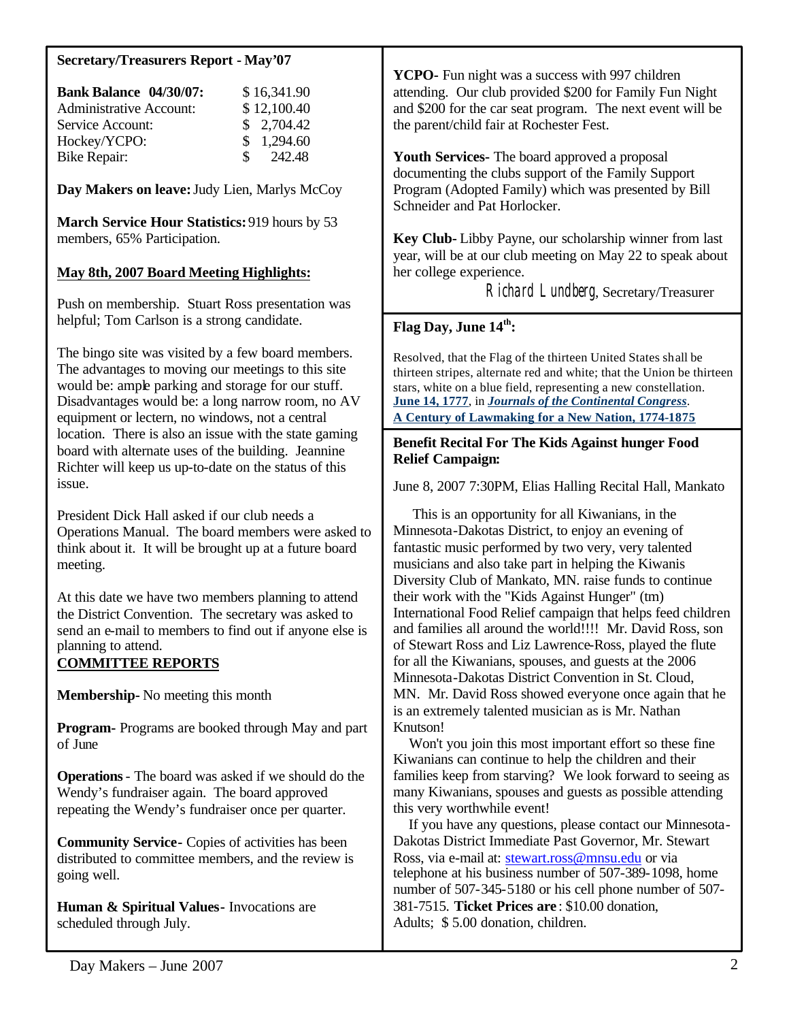### **Secretary/Treasurers Report - May'07**

| <b>Bank Balance 04/30/07:</b>  | \$16,341.90         |
|--------------------------------|---------------------|
| <b>Administrative Account:</b> | \$12,100.40         |
| Service Account:               | \$2,704.42          |
| Hockey/YCPO:                   | \$1,294.60          |
| <b>Bike Repair:</b>            | $\frac{\$}{242.48}$ |

**Day Makers on leave:** Judy Lien, Marlys McCoy

**March Service Hour Statistics:** 919 hours by 53 members, 65% Participation.

## **May 8th, 2007 Board Meeting Highlights:**

Push on membership. Stuart Ross presentation was helpful; Tom Carlson is a strong candidate.

The bingo site was visited by a few board members. The advantages to moving our meetings to this site would be: ample parking and storage for our stuff. Disadvantages would be: a long narrow room, no AV equipment or lectern, no windows, not a central location. There is also an issue with the state gaming board with alternate uses of the building. Jeannine Richter will keep us up-to-date on the status of this issue.

President Dick Hall asked if our club needs a Operations Manual. The board members were asked to think about it. It will be brought up at a future board meeting.

At this date we have two members planning to attend the District Convention. The secretary was asked to send an e-mail to members to find out if anyone else is planning to attend.

# **COMMITTEE REPORTS**

**Membership-** No meeting this month

**Program-** Programs are booked through May and part of June

**Operations**- The board was asked if we should do the Wendy's fundraiser again. The board approved repeating the Wendy's fundraiser once per quarter.

**Community Service-** Copies of activities has been distributed to committee members, and the review is going well.

**Human & Spiritual Values-** Invocations are scheduled through July.

**YCPO-** Fun night was a success with 997 children attending. Our club provided \$200 for Family Fun Night and \$200 for the car seat program. The next event will be the parent/child fair at Rochester Fest.

**Youth Services-** The board approved a proposal documenting the clubs support of the Family Support Program (Adopted Family) which was presented by Bill Schneider and Pat Horlocker.

**Key Club-** Libby Payne, our scholarship winner from last year, will be at our club meeting on May 22 to speak about her college experience.

Richard Lundberg, Secretary/Treasurer

# **Flag Day, June 14th:**

Resolved, that the Flag of the thirteen United States shall be thirteen stripes, alternate red and white; that the Union be thirteen stars, white on a blue field, representing a new constellation. **June 14, 1777**, in *Journals of the Continental Congress*. **A Century of Lawmaking for a New Nation, 1774-1875**

#### **Benefit Recital For The Kids Against hunger Food Relief Campaign:**

June 8, 2007 7:30PM, Elias Halling Recital Hall, Mankato

 This is an opportunity for all Kiwanians, in the Minnesota-Dakotas District, to enjoy an evening of fantastic music performed by two very, very talented musicians and also take part in helping the Kiwanis Diversity Club of Mankato, MN. raise funds to continue their work with the "Kids Against Hunger" (tm) International Food Relief campaign that helps feed children and families all around the world!!!! Mr. David Ross, son of Stewart Ross and Liz Lawrence-Ross, played the flute for all the Kiwanians, spouses, and guests at the 2006 Minnesota-Dakotas District Convention in St. Cloud, MN. Mr. David Ross showed everyone once again that he is an extremely talented musician as is Mr. Nathan Knutson!

 Won't you join this most important effort so these fine Kiwanians can continue to help the children and their families keep from starving? We look forward to seeing as many Kiwanians, spouses and guests as possible attending this very worthwhile event!

 If you have any questions, please contact our Minnesota-Dakotas District Immediate Past Governor, Mr. Stewart Ross, via e-mail at: stewart.ross@mnsu.edu or via telephone at his business number of 507-389-1098, home number of 507-345-5180 or his cell phone number of 507- 381-7515. **Ticket Prices are** : \$10.00 donation, Adults; \$ 5.00 donation, children.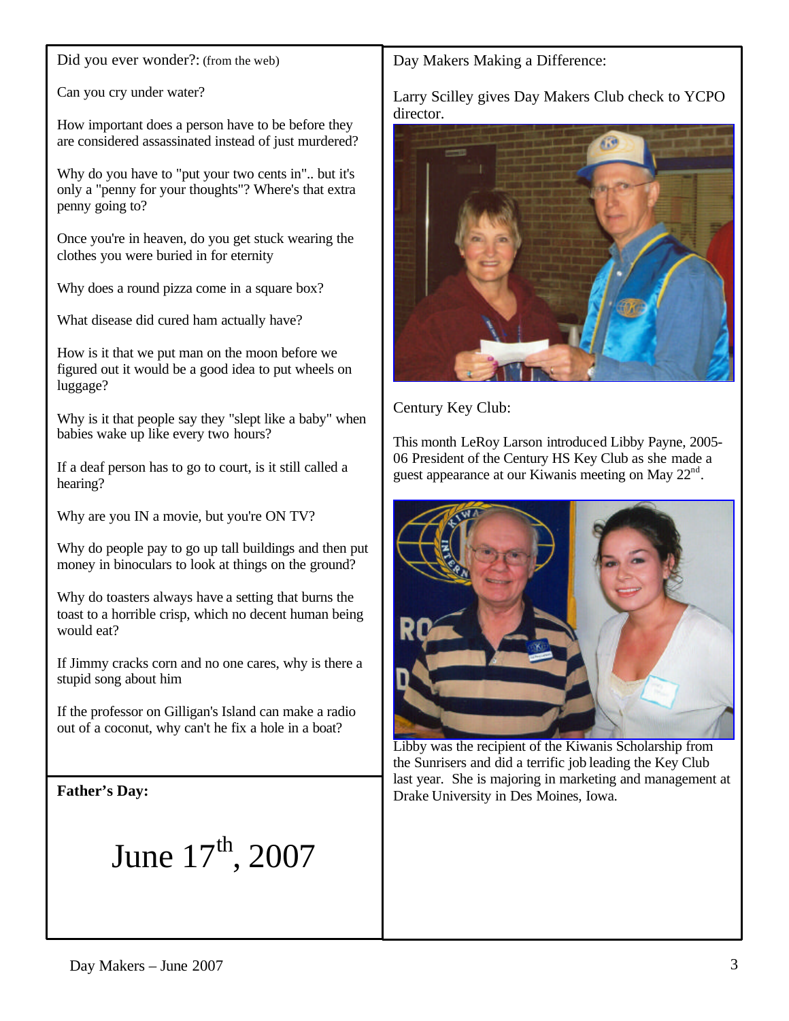Did you ever wonder?: (from the web)

Can you cry under water?

How important does a person have to be before they are considered assassinated instead of just murdered?

Why do you have to "put your two cents in".. but it's only a "penny for your thoughts"? Where's that extra penny going to?

Once you're in heaven, do you get stuck wearing the clothes you were buried in for eternity

Why does a round pizza come in a square box?

What disease did cured ham actually have?

How is it that we put man on the moon before we figured out it would be a good idea to put wheels on luggage?

Why is it that people say they "slept like a baby" when babies wake up like every two hours?

If a deaf person has to go to court, is it still called a hearing?

Why are you IN a movie, but you're ON TV?

Why do people pay to go up tall buildings and then put money in binoculars to look at things on the ground?

Why do toasters always have a setting that burns the toast to a horrible crisp, which no decent human being would eat?

If Jimmy cracks corn and no one cares, why is there a stupid song about him

If the professor on Gilligan's Island can make a radio out of a coconut, why can't he fix a hole in a boat?

**Father's Day:**

June  $17^{\text{th}}$ , 2007

Day Makers Making a Difference:

Larry Scilley gives Day Makers Club check to YCPO director.



Century Key Club:

This month LeRoy Larson introduced Libby Payne, 2005- 06 President of the Century HS Key Club as she made a guest appearance at our Kiwanis meeting on May  $22<sup>nd</sup>$ .



Libby was the recipient of the Kiwanis Scholarship from the Sunrisers and did a terrific job leading the Key Club last year. She is majoring in marketing and management at Drake University in Des Moines, Iowa.